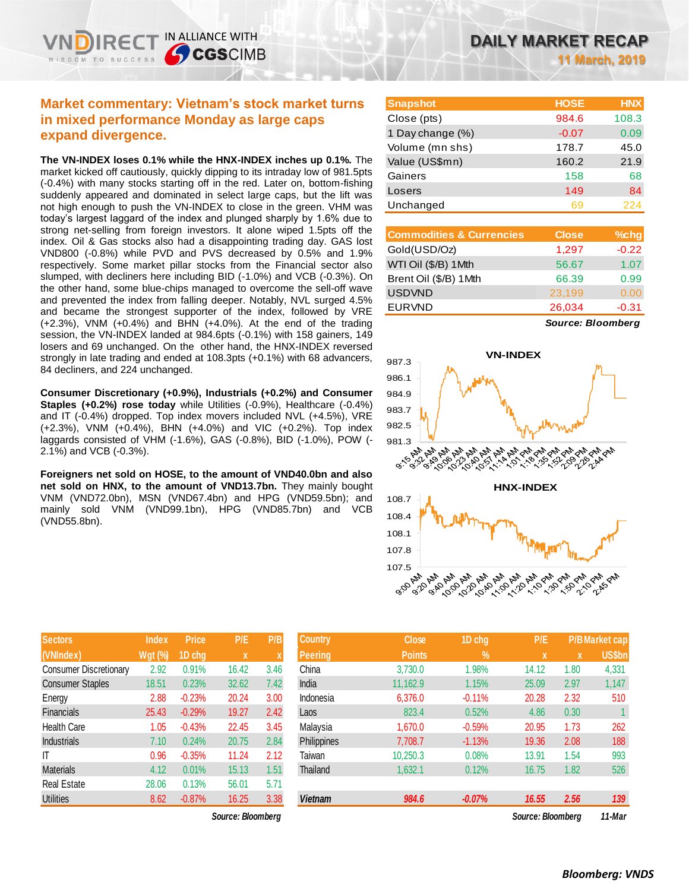## **Market commentary: Vietnam's stock market turns in mixed performance Monday as large caps expand divergence.**

IN ALLIANCE WITH

**CGSCIMB** 

**The VN-INDEX loses 0.1% while the HNX-INDEX inches up 0.1%.** The market kicked off cautiously, quickly dipping to its intraday low of 981.5pts (-0.4%) with many stocks starting off in the red. Later on, bottom-fishing suddenly appeared and dominated in select large caps, but the lift was not high enough to push the VN-INDEX to close in the green. VHM was today's largest laggard of the index and plunged sharply by 1.6% due to strong net-selling from foreign investors. It alone wiped 1.5pts off the index. Oil & Gas stocks also had a disappointing trading day. GAS lost VND800 (-0.8%) while PVD and PVS decreased by 0.5% and 1.9% respectively. Some market pillar stocks from the Financial sector also slumped, with decliners here including BID (-1.0%) and VCB (-0.3%). On the other hand, some blue-chips managed to overcome the sell-off wave and prevented the index from falling deeper. Notably, NVL surged 4.5% and became the strongest supporter of the index, followed by VRE (+2.3%), VNM (+0.4%) and BHN (+4.0%). At the end of the trading session, the VN-INDEX landed at 984.6pts (-0.1%) with 158 gainers, 149 losers and 69 unchanged. On the other hand, the HNX-INDEX reversed strongly in late trading and ended at 108.3pts (+0.1%) with 68 advancers, 84 decliners, and 224 unchanged.

**Consumer Discretionary (+0.9%), Industrials (+0.2%) and Consumer Staples (+0.2%) rose today** while Utilities (-0.9%), Healthcare (-0.4%) and IT (-0.4%) dropped. Top index movers included NVL (+4.5%), VRE (+2.3%), VNM (+0.4%), BHN (+4.0%) and VIC (+0.2%). Top index laggards consisted of VHM (-1.6%), GAS (-0.8%), BID (-1.0%), POW (- 2.1%) and VCB (-0.3%).

**Foreigners net sold on HOSE, to the amount of VND40.0bn and also net sold on HNX, to the amount of VND13.7bn.** They mainly bought VNM (VND72.0bn), MSN (VND67.4bn) and HPG (VND59.5bn); and mainly sold VNM (VND99.1bn), HPG (VND85.7bn) and VCB (VND55.8bn).

| <b>Sectors</b>                | <b>Index</b>   | <b>Price</b> | P/E   | P/B  |
|-------------------------------|----------------|--------------|-------|------|
| (VNIndex)                     | <b>Wgt (%)</b> | 1D chg       | X     | X    |
| <b>Consumer Discretionary</b> | 2.92           | 0.91%        | 16.42 | 3.46 |
| <b>Consumer Staples</b>       | 18.51          | 0.23%        | 32.62 | 7.42 |
| Energy                        | 2.88           | $-0.23%$     | 20.24 | 3.00 |
| <b>Financials</b>             | 25.43          | $-0.29%$     | 19.27 | 2.42 |
| <b>Health Care</b>            | 1.05           | $-0.43%$     | 22.45 | 3.45 |
| Industrials                   | 7.10           | 0.24%        | 20.75 | 2.84 |
| ΙT                            | 0.96           | $-0.35%$     | 11.24 | 2.12 |
| <b>Materials</b>              | 4.12           | 0.01%        | 15.13 | 1.51 |
| <b>Real Estate</b>            | 28.06          | 0.13%        | 56.01 | 5.71 |
| <b>Utilities</b>              | 8.62           | $-0.87%$     | 16.25 | 3.38 |

**11 March, 2019**

| <b>Snapshot</b>  | <b>HOSE</b> | <b>HNX</b> |
|------------------|-------------|------------|
| Close (pts)      | 984.6       | 108.3      |
| 1 Day change (%) | $-0.07$     | 0.09       |
| Volume (mn shs)  | 178.7       | 45.0       |
| Value (US\$mn)   | 160.2       | 21.9       |
| Gainers          | 158         | 68         |
| Losers           | 149         | 84         |
| Unchanged        | 69          | 224        |

| <b>Commodities &amp; Currencies</b> | <b>Close</b> | $%$ chg |
|-------------------------------------|--------------|---------|
| Gold(USD/Oz)                        | 1,297        | $-0.22$ |
| WTI Oil (\$/B) 1Mth                 | 56.67        | 1.07    |
| Brent Oil (\$/B) 1Mth               | 66.39        | 0.99    |
| <b>USDVND</b>                       | 23,199       | 0.00    |
| <b>EURVND</b>                       | 26,034       | $-0.31$ |
|                                     |              |         |

*Source: Bloomberg*



| <b>Sectors</b>          | <b>Index</b>   | <b>Price</b> | P/E               | P/B  | <b>Country</b> | <b>Close</b>  | 1D chg        | P/E               |      | <b>P/B Market cap</b> |
|-------------------------|----------------|--------------|-------------------|------|----------------|---------------|---------------|-------------------|------|-----------------------|
| (VNIndex)               | <b>Wgt (%)</b> | 1D cha       | X                 | X    | <b>Peering</b> | <b>Points</b> | $\frac{9}{6}$ | 'X                | ΙX.  | <b>US\$bn</b>         |
| Consumer Discretionary  | 2.92           | 0.91%        | 16.42             | 3.46 | China          | 3.730.0       | 1.98%         | 14.12             | 1.80 | 4,331                 |
| <b>Consumer Staples</b> | 18.51          | 0.23%        | 32.62             | 7.42 | India          | 11,162.9      | 1.15%         | 25,09             | 2.97 | 1,147                 |
| Energy                  | 2.88           | $-0.23%$     | 20.24             | 3.00 | Indonesia      | 6.376.0       | $-0.11%$      | 20.28             | 2.32 | 510                   |
| Financials              | 25.43          | $-0.29%$     | 19.27             | 2.42 | Laos           | 823.4         | 0.52%         | 4.86              | 0.30 |                       |
| Health Care             | 1.05           | $-0.43%$     | 22.45             | 3.45 | Malaysia       | 1,670.0       | $-0.59%$      | 20.95             | 1.73 | 262                   |
| Industrials             | 7.10           | 0.24%        | 20.75             | 2.84 | Philippines    | 7.708.7       | $-1.13%$      | 19.36             | 2.08 | 188                   |
|                         | 0.96           | $-0.35%$     | 11.24             | 2.12 | Taiwan         | 10,250.3      | 0.08%         | 13.91             | 1.54 | 993                   |
| Materials               | 4.12           | 0.01%        | 15.13             | 1.51 | Thailand       | 1,632.1       | 0.12%         | 16.75             | 1.82 | 526                   |
| Real Estate             | 28.06          | 0.13%        | 56.01             | 5.71 |                |               |               |                   |      |                       |
| Utilities               | 8.62           | $-0.87%$     | 16.25             | 3.38 | <b>Vietnam</b> | 984.6         | $-0.07%$      | 16.55             | 2.56 | 139                   |
|                         |                |              | Source: Bloombera |      |                |               |               | Source: Bloomberg |      | 11-Mar                |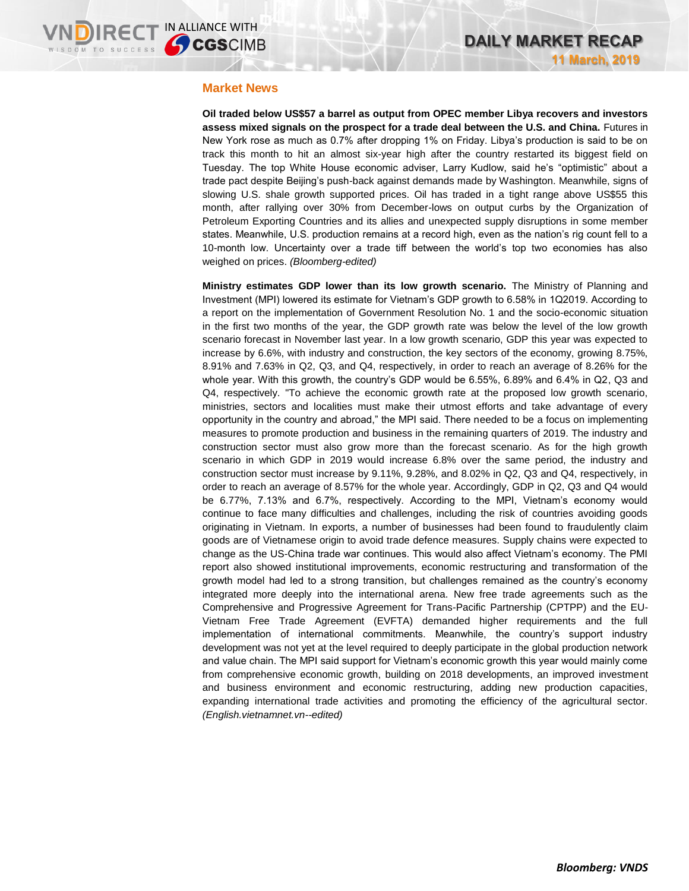#### **Market News**

**Oil traded below US\$57 a barrel as output from OPEC member Libya recovers and investors assess mixed signals on the prospect for a trade deal between the U.S. and China.** Futures in New York rose as much as 0.7% after dropping 1% on Friday. Libya's production is said to be on track this month to hit an almost six-year high after the country restarted its biggest field on Tuesday. The top White House economic adviser, Larry Kudlow, said he's "optimistic" about a trade pact despite Beijing's push-back against demands made by Washington. Meanwhile, signs of slowing U.S. shale growth supported prices. Oil has traded in a tight range above US\$55 this month, after rallying over 30% from December-lows on output curbs by the Organization of Petroleum Exporting Countries and its allies and unexpected supply disruptions in some member states. Meanwhile, U.S. production remains at a record high, even as the nation's rig count fell to a 10-month low. Uncertainty over a trade tiff between the world's top two economies has also weighed on prices. *(Bloomberg-edited)*

**Ministry estimates GDP lower than its low growth scenario.** The Ministry of Planning and Investment (MPI) lowered its estimate for Vietnam's GDP growth to 6.58% in 1Q2019. According to a report on the implementation of Government Resolution No. 1 and the socio-economic situation in the first two months of the year, the GDP growth rate was below the level of the low growth scenario forecast in November last year. In a low growth scenario, GDP this year was expected to increase by 6.6%, with industry and construction, the key sectors of the economy, growing 8.75%, 8.91% and 7.63% in Q2, Q3, and Q4, respectively, in order to reach an average of 8.26% for the whole year. With this growth, the country's GDP would be 6.55%, 6.89% and 6.4% in Q2, Q3 and Q4, respectively. "To achieve the economic growth rate at the proposed low growth scenario, ministries, sectors and localities must make their utmost efforts and take advantage of every opportunity in the country and abroad," the MPI said. There needed to be a focus on implementing measures to promote production and business in the remaining quarters of 2019. The industry and construction sector must also grow more than the forecast scenario. As for the high growth scenario in which GDP in 2019 would increase 6.8% over the same period, the industry and construction sector must increase by 9.11%, 9.28%, and 8.02% in Q2, Q3 and Q4, respectively, in order to reach an average of 8.57% for the whole year. Accordingly, GDP in Q2, Q3 and Q4 would be 6.77%, 7.13% and 6.7%, respectively. According to the MPI, Vietnam's economy would continue to face many difficulties and challenges, including the risk of countries avoiding goods originating in Vietnam. In exports, a number of businesses had been found to fraudulently claim goods are of Vietnamese origin to avoid trade defence measures. Supply chains were expected to change as the US-China trade war continues. This would also affect Vietnam's economy. The PMI report also showed institutional improvements, economic restructuring and transformation of the growth model had led to a strong transition, but challenges remained as the country's economy integrated more deeply into the international arena. New free trade agreements such as the Comprehensive and Progressive Agreement for Trans-Pacific Partnership (CPTPP) and the EU-Vietnam Free Trade Agreement (EVFTA) demanded higher requirements and the full implementation of international commitments. Meanwhile, the country's support industry development was not yet at the level required to deeply participate in the global production network and value chain. The MPI said support for Vietnam's economic growth this year would mainly come from comprehensive economic growth, building on 2018 developments, an improved investment and business environment and economic restructuring, adding new production capacities, expanding international trade activities and promoting the efficiency of the agricultural sector. *(English.vietnamnet.vn--edited)*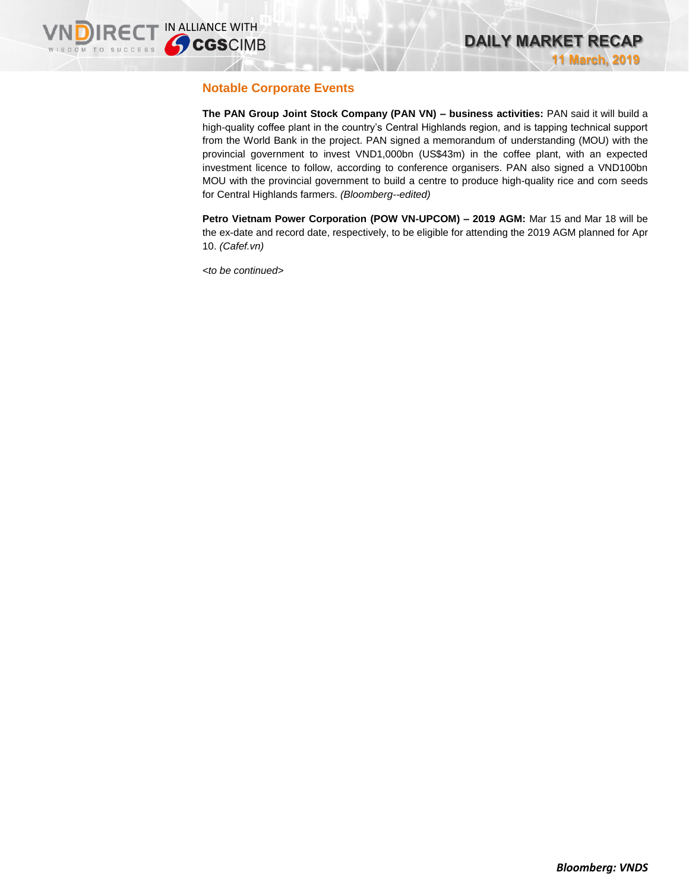### **Notable Corporate Events**

**The PAN Group Joint Stock Company (PAN VN) – business activities:** PAN said it will build a high-quality coffee plant in the country's Central Highlands region, and is tapping technical support from the World Bank in the project. PAN signed a memorandum of understanding (MOU) with the provincial government to invest VND1,000bn (US\$43m) in the coffee plant, with an expected investment licence to follow, according to conference organisers. PAN also signed a VND100bn MOU with the provincial government to build a centre to produce high-quality rice and corn seeds for Central Highlands farmers. *(Bloomberg--edited)*

**Petro Vietnam Power Corporation (POW VN-UPCOM) – 2019 AGM: Mar 15 and Mar 18 will be** the ex-date and record date, respectively, to be eligible for attending the 2019 AGM planned for Apr 10. *(Cafef.vn)*

*<to be continued>*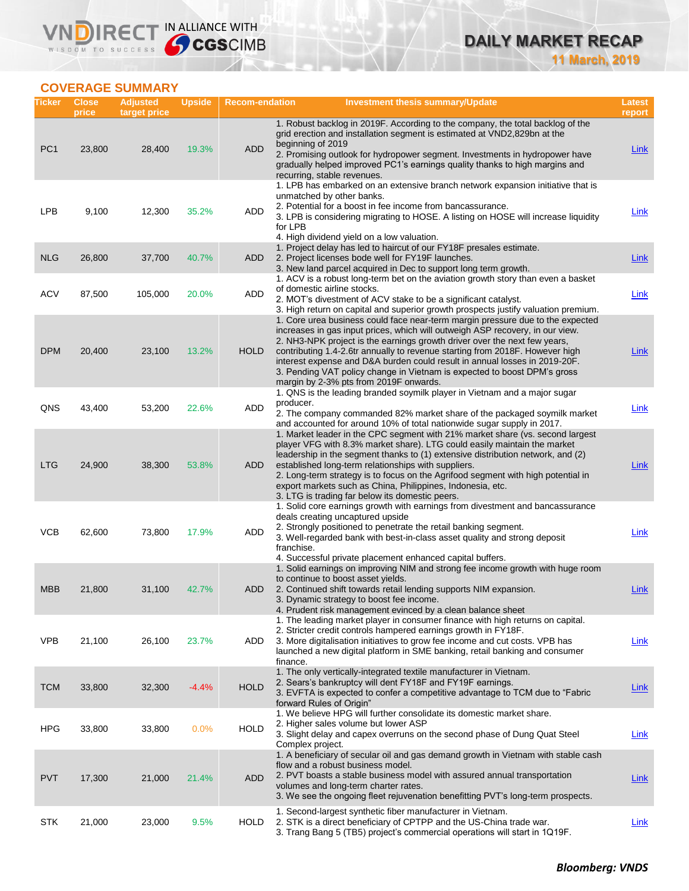### **COVERAGE SUMMARY**

WISDOM TO SUCCESS

VND

**IRECT IN ALLIANCE WITH** 

| Ticker          | <b>Close</b><br>price | <b>Adjusted</b><br>target price | <b>Upside</b> | <b>Recom-endation</b> | <b>Investment thesis summary/Update</b>                                                                                                                                                                                                                                                                                                                                                                                                                                                                                          | Latest<br>report |
|-----------------|-----------------------|---------------------------------|---------------|-----------------------|----------------------------------------------------------------------------------------------------------------------------------------------------------------------------------------------------------------------------------------------------------------------------------------------------------------------------------------------------------------------------------------------------------------------------------------------------------------------------------------------------------------------------------|------------------|
| PC <sub>1</sub> | 23,800                | 28,400                          | 19.3%         | <b>ADD</b>            | 1. Robust backlog in 2019F. According to the company, the total backlog of the<br>grid erection and installation segment is estimated at VND2,829bn at the<br>beginning of 2019<br>2. Promising outlook for hydropower segment. Investments in hydropower have<br>gradually helped improved PC1's earnings quality thanks to high margins and<br>recurring, stable revenues.                                                                                                                                                     | Link             |
| <b>LPB</b>      | 9,100                 | 12,300                          | 35.2%         | ADD                   | 1. LPB has embarked on an extensive branch network expansion initiative that is<br>unmatched by other banks.<br>2. Potential for a boost in fee income from bancassurance.<br>3. LPB is considering migrating to HOSE. A listing on HOSE will increase liquidity<br>for LPB<br>4. High dividend yield on a low valuation.                                                                                                                                                                                                        | <b>Link</b>      |
| <b>NLG</b>      | 26,800                | 37,700                          | 40.7%         | <b>ADD</b>            | 1. Project delay has led to haircut of our FY18F presales estimate.<br>2. Project licenses bode well for FY19F launches.<br>3. New land parcel acquired in Dec to support long term growth.                                                                                                                                                                                                                                                                                                                                      | <b>Link</b>      |
| <b>ACV</b>      | 87,500                | 105,000                         | 20.0%         | <b>ADD</b>            | 1. ACV is a robust long-term bet on the aviation growth story than even a basket<br>of domestic airline stocks.<br>2. MOT's divestment of ACV stake to be a significant catalyst.<br>3. High return on capital and superior growth prospects justify valuation premium.                                                                                                                                                                                                                                                          | Link             |
| <b>DPM</b>      | 20,400                | 23,100                          | 13.2%         | <b>HOLD</b>           | 1. Core urea business could face near-term margin pressure due to the expected<br>increases in gas input prices, which will outweigh ASP recovery, in our view.<br>2. NH3-NPK project is the earnings growth driver over the next few years,<br>contributing 1.4-2.6tr annually to revenue starting from 2018F. However high<br>interest expense and D&A burden could result in annual losses in 2019-20F.<br>3. Pending VAT policy change in Vietnam is expected to boost DPM's gross<br>margin by 2-3% pts from 2019F onwards. | <b>Link</b>      |
| QNS             | 43,400                | 53,200                          | 22.6%         | <b>ADD</b>            | 1. QNS is the leading branded soymilk player in Vietnam and a major sugar<br>producer.<br>2. The company commanded 82% market share of the packaged soymilk market<br>and accounted for around 10% of total nationwide sugar supply in 2017.                                                                                                                                                                                                                                                                                     | Link             |
| <b>LTG</b>      | 24,900                | 38,300                          | 53.8%         | <b>ADD</b>            | 1. Market leader in the CPC segment with 21% market share (vs. second largest<br>player VFG with 8.3% market share). LTG could easily maintain the market<br>leadership in the segment thanks to (1) extensive distribution network, and (2)<br>established long-term relationships with suppliers.<br>2. Long-term strategy is to focus on the Agrifood segment with high potential in<br>export markets such as China, Philippines, Indonesia, etc.<br>3. LTG is trading far below its domestic peers.                         | <b>Link</b>      |
| <b>VCB</b>      | 62,600                | 73,800                          | 17.9%         | ADD                   | 1. Solid core earnings growth with earnings from divestment and bancassurance<br>deals creating uncaptured upside<br>2. Strongly positioned to penetrate the retail banking segment.<br>3. Well-regarded bank with best-in-class asset quality and strong deposit<br>franchise.<br>4. Successful private placement enhanced capital buffers.                                                                                                                                                                                     | Link             |
| <b>MBB</b>      | 21,800                | 31,100                          | 42.7%         | ADD                   | 1. Solid earnings on improving NIM and strong fee income growth with huge room<br>to continue to boost asset yields.<br>2. Continued shift towards retail lending supports NIM expansion.<br>3. Dynamic strategy to boost fee income.<br>4. Prudent risk management evinced by a clean balance sheet                                                                                                                                                                                                                             | Link             |
| <b>VPB</b>      | 21,100                | 26,100                          | 23.7%         | ADD                   | 1. The leading market player in consumer finance with high returns on capital.<br>2. Stricter credit controls hampered earnings growth in FY18F.<br>3. More digitalisation initiatives to grow fee income and cut costs. VPB has<br>launched a new digital platform in SME banking, retail banking and consumer<br>finance.                                                                                                                                                                                                      | <b>Link</b>      |
| <b>TCM</b>      | 33,800                | 32,300                          | $-4.4%$       | <b>HOLD</b>           | 1. The only vertically-integrated textile manufacturer in Vietnam.<br>2. Sears's bankruptcy will dent FY18F and FY19F earnings.<br>3. EVFTA is expected to confer a competitive advantage to TCM due to "Fabric"<br>forward Rules of Origin"                                                                                                                                                                                                                                                                                     | <b>Link</b>      |
| <b>HPG</b>      | 33,800                | 33,800                          | 0.0%          | <b>HOLD</b>           | 1. We believe HPG will further consolidate its domestic market share.<br>2. Higher sales volume but lower ASP<br>3. Slight delay and capex overruns on the second phase of Dung Quat Steel<br>Complex project.                                                                                                                                                                                                                                                                                                                   | <b>Link</b>      |
| <b>PVT</b>      | 17,300                | 21,000                          | 21.4%         | <b>ADD</b>            | 1. A beneficiary of secular oil and gas demand growth in Vietnam with stable cash<br>flow and a robust business model.<br>2. PVT boasts a stable business model with assured annual transportation<br>volumes and long-term charter rates.<br>3. We see the ongoing fleet rejuvenation benefitting PVT's long-term prospects.                                                                                                                                                                                                    | <b>Link</b>      |
| <b>STK</b>      | 21,000                | 23,000                          | 9.5%          | <b>HOLD</b>           | 1. Second-largest synthetic fiber manufacturer in Vietnam.<br>2. STK is a direct beneficiary of CPTPP and the US-China trade war.<br>3. Trang Bang 5 (TB5) project's commercial operations will start in 1Q19F.                                                                                                                                                                                                                                                                                                                  | <b>Link</b>      |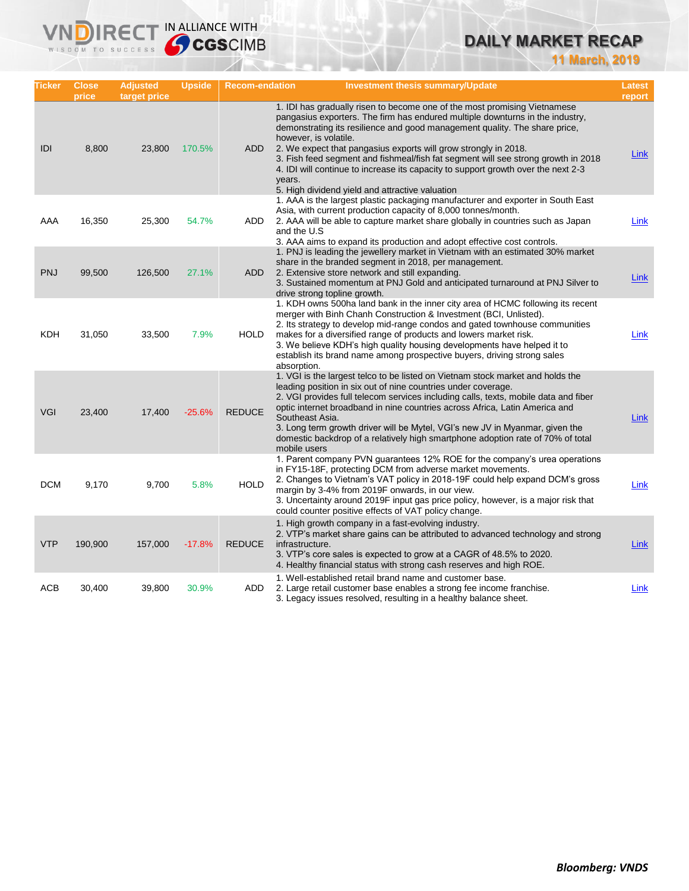## **DAILY MARKET RECAP**

**11 March, 2019**

| Ticker     | <b>Close</b><br>price | <b>Adjusted</b><br>target price | <b>Upside</b> | <b>Recom-endation</b> | <b>Investment thesis summary/Update</b>                                                                                                                                                                                                                                                                                                                                                                                                                                                                                                                                     | <b>Latest</b><br>report |
|------------|-----------------------|---------------------------------|---------------|-----------------------|-----------------------------------------------------------------------------------------------------------------------------------------------------------------------------------------------------------------------------------------------------------------------------------------------------------------------------------------------------------------------------------------------------------------------------------------------------------------------------------------------------------------------------------------------------------------------------|-------------------------|
| IDI        | 8,800                 | 23,800                          | 170.5%        | ADD                   | 1. IDI has gradually risen to become one of the most promising Vietnamese<br>pangasius exporters. The firm has endured multiple downturns in the industry,<br>demonstrating its resilience and good management quality. The share price,<br>however, is volatile.<br>2. We expect that pangasius exports will grow strongly in 2018.<br>3. Fish feed segment and fishmeal/fish fat segment will see strong growth in 2018<br>4. IDI will continue to increase its capacity to support growth over the next 2-3<br>years.<br>5. High dividend yield and attractive valuation | Link                    |
| AAA        | 16,350                | 25,300                          | 54.7%         | ADD                   | 1. AAA is the largest plastic packaging manufacturer and exporter in South East<br>Asia, with current production capacity of 8,000 tonnes/month.<br>2. AAA will be able to capture market share globally in countries such as Japan<br>and the U.S<br>3. AAA aims to expand its production and adopt effective cost controls.                                                                                                                                                                                                                                               | Link                    |
| <b>PNJ</b> | 99,500                | 126,500                         | 27.1%         | <b>ADD</b>            | 1. PNJ is leading the jewellery market in Vietnam with an estimated 30% market<br>share in the branded segment in 2018, per management.<br>2. Extensive store network and still expanding.<br>3. Sustained momentum at PNJ Gold and anticipated turnaround at PNJ Silver to<br>drive strong topline growth.                                                                                                                                                                                                                                                                 | Link                    |
| KDH        | 31,050                | 33,500                          | 7.9%          | HOLD                  | 1. KDH owns 500ha land bank in the inner city area of HCMC following its recent<br>merger with Binh Chanh Construction & Investment (BCI, Unlisted).<br>2. Its strategy to develop mid-range condos and gated townhouse communities<br>makes for a diversified range of products and lowers market risk.<br>3. We believe KDH's high quality housing developments have helped it to<br>establish its brand name among prospective buyers, driving strong sales<br>absorption.                                                                                               | <b>Link</b>             |
| <b>VGI</b> | 23,400                | 17,400                          | $-25.6%$      | <b>REDUCE</b>         | 1. VGI is the largest telco to be listed on Vietnam stock market and holds the<br>leading position in six out of nine countries under coverage.<br>2. VGI provides full telecom services including calls, texts, mobile data and fiber<br>optic internet broadband in nine countries across Africa, Latin America and<br>Southeast Asia.<br>3. Long term growth driver will be Mytel, VGI's new JV in Myanmar, given the<br>domestic backdrop of a relatively high smartphone adoption rate of 70% of total<br>mobile users                                                 | Link                    |
| <b>DCM</b> | 9,170                 | 9,700                           | 5.8%          | <b>HOLD</b>           | 1. Parent company PVN guarantees 12% ROE for the company's urea operations<br>in FY15-18F, protecting DCM from adverse market movements.<br>2. Changes to Vietnam's VAT policy in 2018-19F could help expand DCM's gross<br>margin by 3-4% from 2019F onwards, in our view.<br>3. Uncertainty around 2019F input gas price policy, however, is a major risk that<br>could counter positive effects of VAT policy change.                                                                                                                                                    | Link                    |
| <b>VTP</b> | 190,900               | 157,000                         | $-17.8%$      | <b>REDUCE</b>         | 1. High growth company in a fast-evolving industry.<br>2. VTP's market share gains can be attributed to advanced technology and strong<br>infrastructure.<br>3. VTP's core sales is expected to grow at a CAGR of 48.5% to 2020.<br>4. Healthy financial status with strong cash reserves and high ROE.                                                                                                                                                                                                                                                                     | Link                    |
| ACB        | 30,400                | 39,800                          | 30.9%         | <b>ADD</b>            | 1. Well-established retail brand name and customer base.<br>2. Large retail customer base enables a strong fee income franchise.<br>3. Legacy issues resolved, resulting in a healthy balance sheet.                                                                                                                                                                                                                                                                                                                                                                        | Link                    |

IRECT IN ALLIANCE WITH

VND

WISDOM TO SUCCESS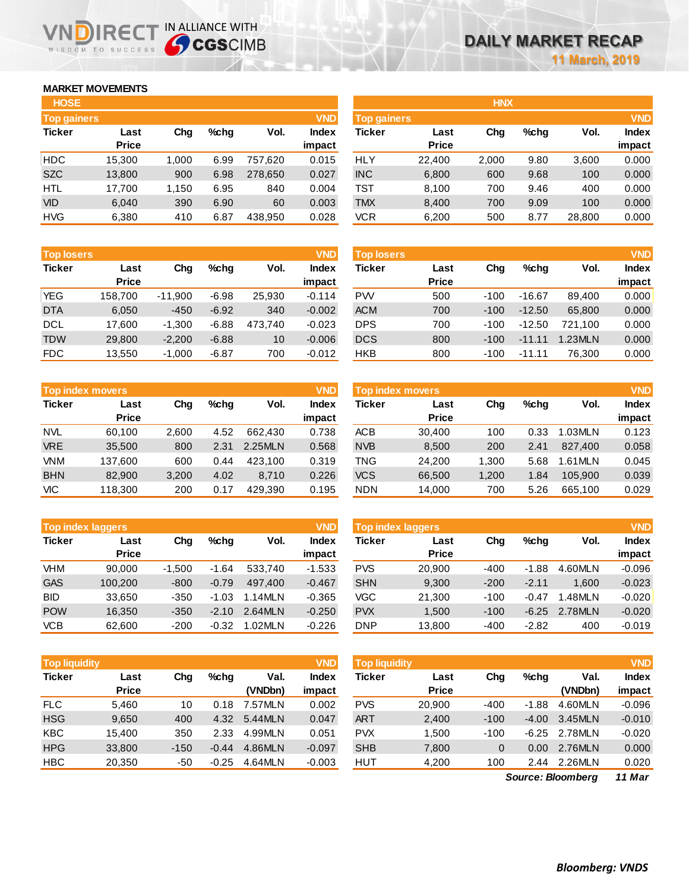### **MARKET MOVEMENTS**

WISDOM TO SUCCESS

**IRE** 

| <b>HOSE</b>        |              |       |         |         |              |
|--------------------|--------------|-------|---------|---------|--------------|
| <b>Top gainers</b> |              |       |         |         | <b>VND</b>   |
| <b>Ticker</b>      | Last         | Chq   | $%$ chq | Vol.    | <b>Index</b> |
|                    | <b>Price</b> |       |         |         | impact       |
| <b>HDC</b>         | 15,300       | 1,000 | 6.99    | 757,620 | 0.015        |
| <b>SZC</b>         | 13,800       | 900   | 6.98    | 278,650 | 0.027        |
| <b>HTL</b>         | 17,700       | 1,150 | 6.95    | 840     | 0.004        |
| <b>VID</b>         | 6,040        | 390   | 6.90    | 60      | 0.003        |
| <b>HVG</b>         | 6,380        | 410   | 6.87    | 438.950 | 0.028        |

IN ALLIANCE WITH

| <b>Top losers</b> |              |           |         |         | <b>VND</b>   |  |
|-------------------|--------------|-----------|---------|---------|--------------|--|
| <b>Ticker</b>     | Last         | Cha       | $%$ chq | Vol.    | <b>Index</b> |  |
|                   | <b>Price</b> |           |         |         | impact       |  |
| YEG               | 158,700      | $-11,900$ | $-6.98$ | 25,930  | $-0.114$     |  |
| <b>DTA</b>        | 6,050        | $-450$    | $-6.92$ | 340     | $-0.002$     |  |
| <b>DCL</b>        | 17,600       | $-1,300$  | $-6.88$ | 473,740 | $-0.023$     |  |
| <b>TDW</b>        | 29,800       | $-2,200$  | $-6.88$ | 10      | $-0.006$     |  |
| FDC               | 13,550       | $-1,000$  | $-6.87$ | 700     | $-0.012$     |  |

|               | <b>Top index movers</b> |       |         |         |              |  |  |  |  |
|---------------|-------------------------|-------|---------|---------|--------------|--|--|--|--|
| <b>Ticker</b> | Last                    | Cha   | $%$ chq | Vol.    | <b>Index</b> |  |  |  |  |
|               | <b>Price</b>            |       |         |         | impact       |  |  |  |  |
| <b>NVL</b>    | 60,100                  | 2,600 | 4.52    | 662.430 | 0.738        |  |  |  |  |
| <b>VRE</b>    | 35,500                  | 800   | 2.31    | 2.25MLN | 0.568        |  |  |  |  |
| <b>VNM</b>    | 137,600                 | 600   | 0.44    | 423,100 | 0.319        |  |  |  |  |
| <b>BHN</b>    | 82,900                  | 3,200 | 4.02    | 8.710   | 0.226        |  |  |  |  |
| VIC           | 118,300                 | 200   | 0.17    | 429,390 | 0.195        |  |  |  |  |

|               | <b>Top index laggers</b> |          |         |         |              |  |  |  |  |
|---------------|--------------------------|----------|---------|---------|--------------|--|--|--|--|
| <b>Ticker</b> | Last                     | Cha      | %chq    | Vol.    | <b>Index</b> |  |  |  |  |
|               | <b>Price</b>             |          |         |         | impact       |  |  |  |  |
| VHM           | 90,000                   | $-1,500$ | $-1.64$ | 533,740 | $-1.533$     |  |  |  |  |
| <b>GAS</b>    | 100,200                  | $-800$   | $-0.79$ | 497.400 | $-0.467$     |  |  |  |  |
| <b>BID</b>    | 33,650                   | $-350$   | $-1.03$ | 1.14MLN | $-0.365$     |  |  |  |  |
| <b>POW</b>    | 16,350                   | $-350$   | $-2.10$ | 2.64MLN | $-0.250$     |  |  |  |  |
| <b>VCB</b>    | 62,600                   | $-200$   | $-0.32$ | 1.02MLN | $-0.226$     |  |  |  |  |

| <b>VND</b><br><b>Top liquidity</b> |              |        |         |         |              |  |  |  |
|------------------------------------|--------------|--------|---------|---------|--------------|--|--|--|
| <b>Ticker</b>                      | Last         | Cha    | %chq    | Val.    | <b>Index</b> |  |  |  |
|                                    | <b>Price</b> |        |         | (VNDbn) | impact       |  |  |  |
| <b>FLC</b>                         | 5,460        | 10     | 0.18    | 7.57MLN | 0.002        |  |  |  |
| <b>HSG</b>                         | 9.650        | 400    | 4.32    | 5.44MLN | 0.047        |  |  |  |
| <b>KBC</b>                         | 15.400       | 350    | 2.33    | 4.99MLN | 0.051        |  |  |  |
| <b>HPG</b>                         | 33,800       | $-150$ | $-0.44$ | 4.86MLN | $-0.097$     |  |  |  |
| <b>HBC</b>                         | 20,350       | -50    | $-0.25$ | 4.64MLN | $-0.003$     |  |  |  |

| <b>HOSE</b>        |              |       |      |         |              |                    |              | <b>HNX</b> |         |        |              |
|--------------------|--------------|-------|------|---------|--------------|--------------------|--------------|------------|---------|--------|--------------|
| <b>Top gainers</b> |              |       |      |         | <b>VND</b>   | <b>Top gainers</b> |              |            |         |        | <b>VND</b>   |
| Ticker             | Last         | Chg   | %chg | Vol.    | <b>Index</b> | Ticker             | Last         | Chg        | $%$ chg | Vol.   | <b>Index</b> |
|                    | <b>Price</b> |       |      |         | impact       |                    | <b>Price</b> |            |         |        | impact       |
| HDC                | 15,300       | 1,000 | 6.99 | 757.620 | 0.015        | <b>HLY</b>         | 22,400       | 2,000      | 9.80    | 3,600  | 0.000        |
| <b>SZC</b>         | 13,800       | 900   | 6.98 | 278,650 | 0.027        | <b>INC</b>         | 6,800        | 600        | 9.68    | 100    | 0.000        |
| HTL                | 17.700       | 1.150 | 6.95 | 840     | 0.004        | TST                | 8.100        | 700        | 9.46    | 400    | 0.000        |
| <b>VID</b>         | 6,040        | 390   | 6.90 | 60      | 0.003        | <b>TMX</b>         | 8,400        | 700        | 9.09    | 100    | 0.000        |
| <b>HVG</b>         | 6,380        | 410   | 6.87 | 438,950 | 0.028        | VCR                | 6,200        | 500        | 8.77    | 28,800 | 0.000        |

| <b>Top losers</b> |              |           |         |         | <b>VND</b>   | <b>Top losers</b> |              |        |          |         | <b>VND</b> |
|-------------------|--------------|-----------|---------|---------|--------------|-------------------|--------------|--------|----------|---------|------------|
| <b>Ticker</b>     | Last         | Chg       | %chq    | Vol.    | <b>Index</b> | Ticker            | Last         | Chg    | $%$ chq  | Vol.    | Index      |
|                   | <b>Price</b> |           |         |         | impact       |                   | <b>Price</b> |        |          |         | impact     |
| YEG               | 158.700      | $-11.900$ | $-6.98$ | 25.930  | $-0.114$     | <b>PW</b>         | 500          | $-100$ | $-16.67$ | 89.400  | 0.000      |
| <b>DTA</b>        | 6,050        | $-450$    | $-6.92$ | 340     | $-0.002$     | <b>ACM</b>        | 700          | $-100$ | $-12.50$ | 65,800  | 0.000      |
| DCL               | 17.600       | $-1.300$  | $-6.88$ | 473.740 | $-0.023$     | <b>DPS</b>        | 700          | $-100$ | $-12.50$ | 721.100 | 0.000      |
| <b>TDW</b>        | 29,800       | $-2,200$  | $-6.88$ | 10      | $-0.006$     | <b>DCS</b>        | 800          | $-100$ | $-11.11$ | 1.23MLN | 0.000      |
| <b>FDC</b>        | 13,550       | $-1,000$  | $-6.87$ | 700     | $-0.012$     | HKB               | 800          | $-100$ | $-11.11$ | 76,300  | 0.000      |

| Top index movers |                      |       |         |         | <b>VND</b>             | Top index movers |                      |       |         |           |                        |
|------------------|----------------------|-------|---------|---------|------------------------|------------------|----------------------|-------|---------|-----------|------------------------|
| Ticker           | Last<br><b>Price</b> | Chg   | $%$ chq | Vol.    | <b>Index</b><br>impact | Ticker           | Last<br><b>Price</b> | Chg   | $%$ chq | Vol.      | <b>Index</b><br>impact |
| NVL              | 60.100               | 2.600 | 4.52    | 662.430 | 0.738                  | <b>ACB</b>       | 30.400               | 100   | 0.33    | 1.03MLN   | 0.123                  |
| <b>VRE</b>       | 35,500               | 800   | 2.31    | 2.25MLN | 0.568                  | <b>NVB</b>       | 8,500                | 200   | 2.41    | 827.400   | 0.058                  |
| <b>VNM</b>       | 137.600              | 600   | 0.44    | 423.100 | 0.319                  | <b>TNG</b>       | 24.200               | 1.300 | 5.68    | $.61$ MLN | 0.045                  |
| <b>BHN</b>       | 82,900               | 3.200 | 4.02    | 8.710   | 0.226                  | <b>VCS</b>       | 66.500               | 1.200 | 1.84    | 105.900   | 0.039                  |
| VIC              | 118,300              | 200   | 0.17    | 429.390 | 0.195                  | <b>NDN</b>       | 14,000               | 700   | 5.26    | 665,100   | 0.029                  |

|            | <b>Top index laggers</b> |          |         |         | <b>VND</b>      | <b>Top index laggers</b> |                      |        |         |         |                        |
|------------|--------------------------|----------|---------|---------|-----------------|--------------------------|----------------------|--------|---------|---------|------------------------|
| Ticker     | Last<br><b>Price</b>     | Chg      | $%$ chq | Vol.    | Index<br>impact | Ticker                   | Last<br><b>Price</b> | Chg    | $%$ chq | Vol.    | <b>Index</b><br>impact |
| VHM        | 90.000                   | $-1.500$ | $-1.64$ | 533.740 | $-1.533$        | <b>PVS</b>               | 20,900               | $-400$ | $-1.88$ | 4.60MLN | $-0.096$               |
| <b>GAS</b> | 100.200                  | $-800$   | $-0.79$ | 497.400 | $-0.467$        | <b>SHN</b>               | 9,300                | $-200$ | $-2.11$ | 1.600   | $-0.023$               |
| BID        | 33.650                   | $-350$   | $-1.03$ | 1.14MLN | $-0.365$        | VGC                      | 21,300               | $-100$ | $-0.47$ | .48MLN  | $-0.020$               |
| <b>POW</b> | 16.350                   | $-350$   | $-2.10$ | 2.64MLN | $-0.250$        | <b>PVX</b>               | 1.500                | $-100$ | $-6.25$ | 2.78MLN | $-0.020$               |
| <b>VCB</b> | 62.600                   | $-200$   | $-0.32$ | 1.02MLN | $-0.226$        | DNP                      | 13.800               | $-400$ | $-2.82$ | 400     | $-0.019$               |

| <b>Top liquidity</b> |              |        |         |         | <b>VND</b>   | <b>Top liquidity</b> |              |        |         |         | <b>VND</b>   |
|----------------------|--------------|--------|---------|---------|--------------|----------------------|--------------|--------|---------|---------|--------------|
| Ticker               | Last         | Chg    | $%$ chq | Val.    | <b>Index</b> | Ticker               | Last         | Chg    | %chq    | Val.    | <b>Index</b> |
|                      | <b>Price</b> |        |         | (VNDbn) | impact       |                      | <b>Price</b> |        |         | (VNDbn) | impact       |
| <b>FLC</b>           | 5.460        | 10     | 0.18    | 7.57MLN | 0.002        | <b>PVS</b>           | 20,900       | $-400$ | $-1.88$ | 4.60MLN | $-0.096$     |
| <b>HSG</b>           | 9,650        | 400    | 4.32    | 5.44MLN | 0.047        | <b>ART</b>           | 2,400        | $-100$ | $-4.00$ | 3.45MLN | $-0.010$     |
| KBC                  | 15.400       | 350    | 2.33    | 4.99MLN | 0.051        | <b>PVX</b>           | 1.500        | $-100$ | $-6.25$ | 2.78MLN | $-0.020$     |
| <b>HPG</b>           | 33,800       | $-150$ | $-0.44$ | 4.86MLN | $-0.097$     | <b>SHB</b>           | 7,800        | 0      | 0.00    | 2.76MLN | 0.000        |
| HBC.                 | 20,350       | -50    | $-0.25$ | 4.64MLN | $-0.003$     | HUT                  | 4,200        | 100    | 2.44    | 2.26MLN | 0.020        |
|                      |              |        |         |         |              |                      |              |        |         |         |              |

*11 Mar Source: Bloomberg*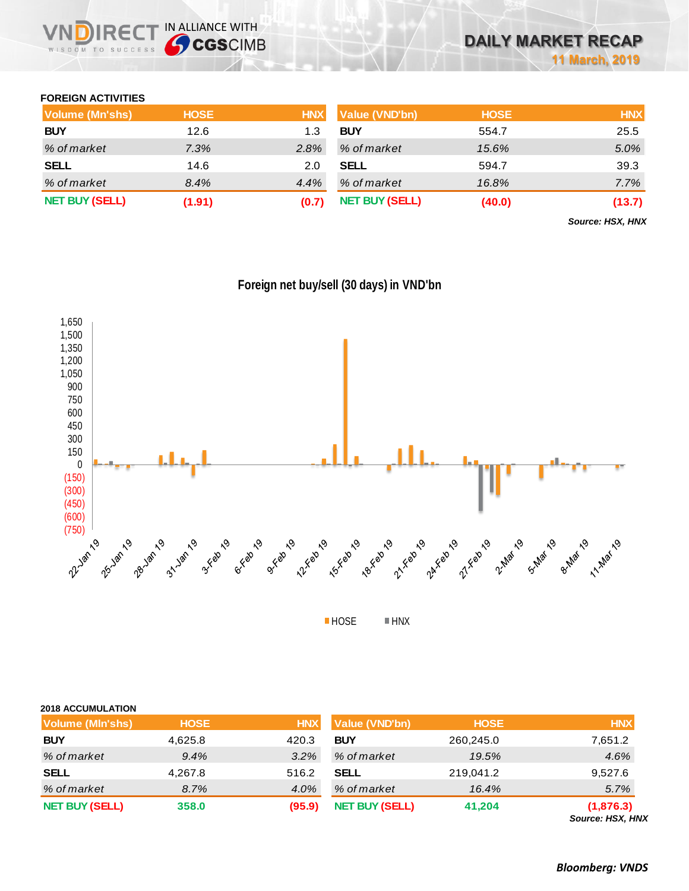### **FOREIGN ACTIVITIES**

| <b>Volume (Mn'shs)</b> | <b>HOSE</b> | <b>HNX</b> | Value (VND'bn)        | <b>HOSE</b> | <b>HNX</b> |
|------------------------|-------------|------------|-----------------------|-------------|------------|
| <b>BUY</b>             | 12.6        | 1.3        | <b>BUY</b>            | 554.7       | 25.5       |
| % of market            | 7.3%        | $2.8\%$    | % of market           | 15.6%       | 5.0%       |
| <b>SELL</b>            | 14.6        | 2.0        | <b>SELL</b>           | 594.7       | 39.3       |
| % of market            | 8.4%        | 4.4%       | % of market           | 16.8%       | $7.7\%$    |
| <b>NET BUY (SELL)</b>  | (1.91)      | (0.7)      | <b>NET BUY (SELL)</b> | (40.0)      | (13.7)     |

*Source: HSX, HNX*



**Foreign net buy/sell (30 days) in VND'bn**

■HOSE **■HNX** 

| <b>2018 ACCUMULATION</b> |             |            |                       |             |                |
|--------------------------|-------------|------------|-----------------------|-------------|----------------|
| Volume (MIn'shs)         | <b>HOSE</b> | <b>HNX</b> | <b>Value (VND'bn)</b> | <b>HOSE</b> | <b>HNX</b>     |
| <b>BUY</b>               | 4,625.8     | 420.3      | <b>BUY</b>            | 260,245.0   | 7,651.2        |
| % of market              | 9.4%        | 3.2%       | % of market           | 19.5%       | 4.6%           |
| <b>SELL</b>              | 4,267.8     | 516.2      | <b>SELL</b>           | 219,041.2   | 9,527.6        |
| % of market              | 8.7%        | 4.0%       | % of market           | 16.4%       | 5.7%           |
| <b>NET BUY (SELL)</b>    | 358.0       | (95.9)     | <b>NET BUY (SELL)</b> | 41,204      | (1,876.3)<br>. |

*Source: HSX, HNX*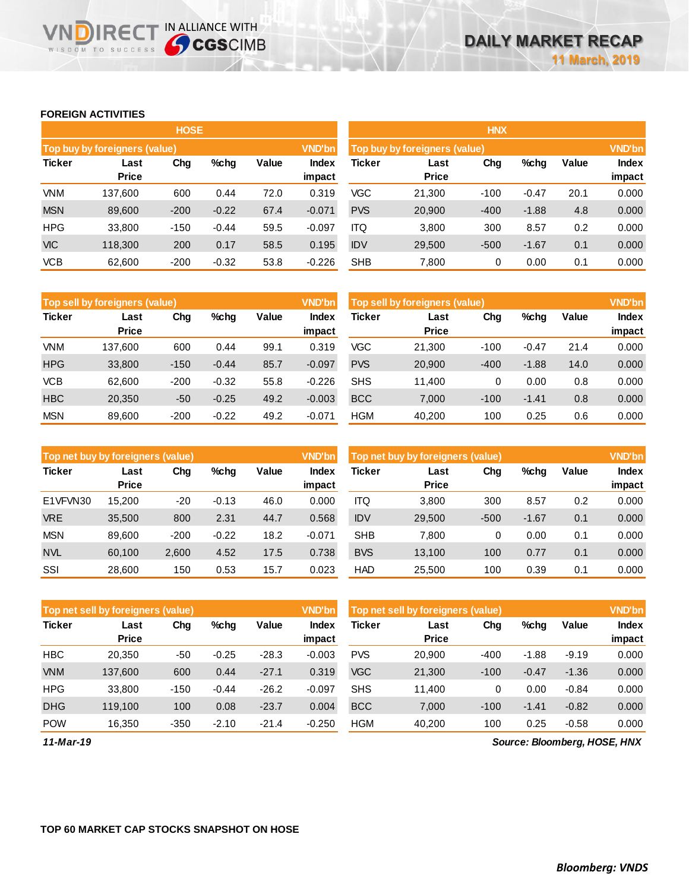### **FOREIGN ACTIVITIES**

WISDOM TO SUCCESS

NDIRECT IN ALLIANCE WITH

|               |                               | <b>HOSE</b> |         |       |                 | <b>HNX</b>                                     |                      |        |         |       |                 |  |
|---------------|-------------------------------|-------------|---------|-------|-----------------|------------------------------------------------|----------------------|--------|---------|-------|-----------------|--|
|               | Top buy by foreigners (value) |             |         |       | <b>VND'bn</b>   | <b>VND'bn</b><br>Top buy by foreigners (value) |                      |        |         |       |                 |  |
| <b>Ticker</b> | Last<br><b>Price</b>          | Chg         | $%$ chg | Value | Index<br>impact | Ticker                                         | Last<br><b>Price</b> | Chg    | %chg    | Value | Index<br>impact |  |
| <b>VNM</b>    | 137.600                       | 600         | 0.44    | 72.0  | 0.319           | <b>VGC</b>                                     | 21,300               | $-100$ | $-0.47$ | 20.1  | 0.000           |  |
| <b>MSN</b>    | 89,600                        | $-200$      | $-0.22$ | 67.4  | $-0.071$        | <b>PVS</b>                                     | 20,900               | $-400$ | $-1.88$ | 4.8   | 0.000           |  |
| <b>HPG</b>    | 33,800                        | $-150$      | $-0.44$ | 59.5  | $-0.097$        | <b>ITQ</b>                                     | 3,800                | 300    | 8.57    | 0.2   | 0.000           |  |
| <b>VIC</b>    | 118.300                       | 200         | 0.17    | 58.5  | 0.195           | <b>IDV</b>                                     | 29,500               | $-500$ | $-1.67$ | 0.1   | 0.000           |  |
| <b>VCB</b>    | 62,600                        | $-200$      | $-0.32$ | 53.8  | $-0.226$        | <b>SHB</b>                                     | 7,800                | 0      | 0.00    | 0.1   | 0.000           |  |

|               | Top sell by foreigners (value) |        |         |       | <b>VND'bn</b>          | Top sell by foreigners (value) |                      |        |         |       |                 |
|---------------|--------------------------------|--------|---------|-------|------------------------|--------------------------------|----------------------|--------|---------|-------|-----------------|
| <b>Ticker</b> | Last<br><b>Price</b>           | Chg    | $%$ chg | Value | <b>Index</b><br>impact | <b>Ticker</b>                  | Last<br><b>Price</b> | Chg    | %chg    | Value | Index<br>impact |
| <b>VNM</b>    | 137.600                        | 600    | 0.44    | 99.1  | 0.319                  | VGC                            | 21.300               | $-100$ | -0.47   | 21.4  | 0.000           |
| <b>HPG</b>    | 33,800                         | $-150$ | $-0.44$ | 85.7  | $-0.097$               | <b>PVS</b>                     | 20,900               | $-400$ | $-1.88$ | 14.0  | 0.000           |
| <b>VCB</b>    | 62.600                         | $-200$ | $-0.32$ | 55.8  | $-0.226$               | <b>SHS</b>                     | 11.400               | 0      | 0.00    | 0.8   | 0.000           |
| <b>HBC</b>    | 20,350                         | $-50$  | $-0.25$ | 49.2  | $-0.003$               | <b>BCC</b>                     | 7.000                | $-100$ | $-1.41$ | 0.8   | 0.000           |
| <b>MSN</b>    | 89,600                         | $-200$ | $-0.22$ | 49.2  | $-0.071$               | <b>HGM</b>                     | 40.200               | 100    | 0.25    | 0.6   | 0.000           |

| Top net buy by foreigners (value) |                      |        |         |       | <b>VND'bn</b>          | Top net buy by foreigners (value) |                      | <b>VND'bn</b> |         |       |                        |
|-----------------------------------|----------------------|--------|---------|-------|------------------------|-----------------------------------|----------------------|---------------|---------|-------|------------------------|
| <b>Ticker</b>                     | Last<br><b>Price</b> | Chg    | %chg    | Value | <b>Index</b><br>impact | <b>Ticker</b>                     | Last<br><b>Price</b> | Chg           | %chg    | Value | <b>Index</b><br>impact |
| E1VFVN30                          | 15.200               | $-20$  | $-0.13$ | 46.0  | 0.000                  | ITQ                               | 3,800                | 300           | 8.57    | 0.2   | 0.000                  |
| <b>VRE</b>                        | 35,500               | 800    | 2.31    | 44.7  | 0.568                  | <b>IDV</b>                        | 29,500               | $-500$        | $-1.67$ | 0.1   | 0.000                  |
| <b>MSN</b>                        | 89.600               | $-200$ | $-0.22$ | 18.2  | $-0.071$               | <b>SHB</b>                        | 7.800                | 0             | 0.00    | 0.1   | 0.000                  |
| <b>NVL</b>                        | 60,100               | 2,600  | 4.52    | 17.5  | 0.738                  | <b>BVS</b>                        | 13,100               | 100           | 0.77    | 0.1   | 0.000                  |
| SSI                               | 28,600               | 150    | 0.53    | 15.7  | 0.023                  | <b>HAD</b>                        | 25,500               | 100           | 0.39    | 0.1   | 0.000                  |

|               | Top net sell by foreigners (value) |        |         |         | <b>VND'bn</b> | Top net sell by foreigners (value) |              | <b>VND'bn</b> |         |         |              |
|---------------|------------------------------------|--------|---------|---------|---------------|------------------------------------|--------------|---------------|---------|---------|--------------|
| <b>Ticker</b> | Last                               | Chg    | $%$ chg | Value   | Index         | Ticker                             | Last         | Chg           | %chg    | Value   | <b>Index</b> |
|               | <b>Price</b>                       |        |         |         | impact        |                                    | <b>Price</b> |               |         |         | impact       |
| <b>HBC</b>    | 20,350                             | -50    | $-0.25$ | $-28.3$ | $-0.003$      | <b>PVS</b>                         | 20,900       | $-400$        | $-1.88$ | $-9.19$ | 0.000        |
| <b>VNM</b>    | 137,600                            | 600    | 0.44    | $-27.1$ | 0.319         | <b>VGC</b>                         | 21,300       | $-100$        | $-0.47$ | $-1.36$ | 0.000        |
| <b>HPG</b>    | 33,800                             | $-150$ | $-0.44$ | $-26.2$ | $-0.097$      | <b>SHS</b>                         | 11.400       | 0             | 0.00    | $-0.84$ | 0.000        |
| <b>DHG</b>    | 119.100                            | 100    | 0.08    | $-23.7$ | 0.004         | <b>BCC</b>                         | 7.000        | $-100$        | $-1.41$ | $-0.82$ | 0.000        |
| <b>POW</b>    | 16.350                             | $-350$ | $-2.10$ | $-21.4$ | $-0.250$      | <b>HGM</b>                         | 40,200       | 100           | 0.25    | $-0.58$ | 0.000        |

*11-Mar-19*

*Source: Bloomberg, HOSE, HNX*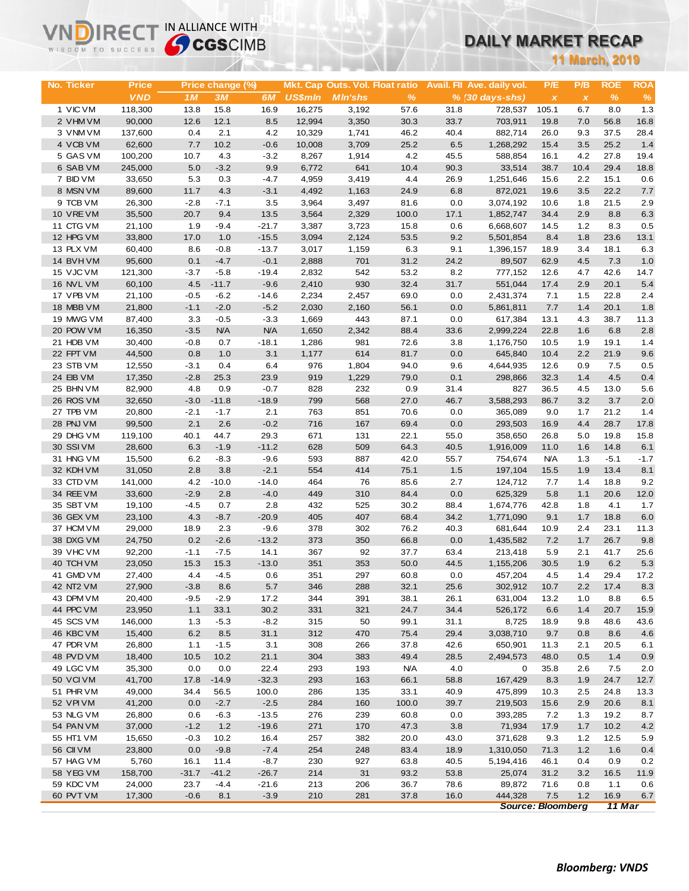# **DAILY MARKET RECAP**

| WISDOM TO SUCCESS      |                   | <b>Sy CGS</b> CIMB |                  |                    |                  |                                 |              |              | DAILY MARKET RECAP         |                          |                           |              |              |  |
|------------------------|-------------------|--------------------|------------------|--------------------|------------------|---------------------------------|--------------|--------------|----------------------------|--------------------------|---------------------------|--------------|--------------|--|
|                        |                   |                    |                  |                    |                  |                                 |              |              |                            |                          | <b>11 March, 2019</b>     |              |              |  |
|                        |                   |                    |                  |                    |                  |                                 |              |              |                            |                          |                           |              |              |  |
| No. Ticker             | Price             |                    | Price change (%) |                    |                  | Mkt. Cap Outs. Vol. Float ratio |              |              | Avail. Fil Ave. daily vol. | P/E                      | P/B                       | <b>ROE</b>   | <b>ROA</b>   |  |
|                        | <b>VND</b>        | 1M                 | 3M               | 6 <i>M</i>         | <b>US\$mln</b>   | <b>MIn'shs</b>                  | $\%$         |              | $% (30 days-shs)$          | $\pmb{\chi}$             | $\boldsymbol{\mathsf{x}}$ | $\%$         | $\%$         |  |
| 1 VIC VM               | 118,300           | 13.8               | 15.8             | 16.9               | 16,275           | 3,192                           | 57.6         | 31.8         | 728,537                    | 105.1                    | 6.7                       | 8.0          | 1.3          |  |
| 2 VHM VM<br>3 VNMVM    | 90,000<br>137,600 | 12.6<br>0.4        | 12.1<br>2.1      | 8.5<br>4.2         | 12,994<br>10,329 | 3,350<br>1,741                  | 30.3<br>46.2 | 33.7<br>40.4 | 703,911<br>882,714         | 19.8<br>26.0             | 7.0<br>9.3                | 56.8<br>37.5 | 16.8<br>28.4 |  |
| 4 VCB VM               | 62,600            | 7.7                | 10.2             | $-0.6$             | 10,008           | 3,709                           | 25.2         | 6.5          | 1,268,292                  | 15.4                     | 3.5                       | 25.2         | 1.4          |  |
| 5 GAS VM               | 100,200           | 10.7               | 4.3              | $-3.2$             | 8,267            | 1,914                           | 4.2          | 45.5         | 588,854                    | 16.1                     | 4.2                       | 27.8         | 19.4         |  |
| 6 SAB VM               | 245,000           | 5.0                | $-3.2$           | 9.9                | 6,772            | 641                             | 10.4         | 90.3         | 33,514                     | 38.7                     | 10.4                      | 29.4         | 18.8         |  |
| 7 BID VM               | 33,650            | 5.3                | 0.3              | $-4.7$             | 4,959            | 3,419                           | 4.4          | 26.9         | 1,251,646                  | 15.6                     | 2.2                       | 15.1         | 0.6          |  |
| 8 MSN VM               | 89,600            | 11.7               | 4.3              | $-3.1$             | 4,492            | 1,163                           | 24.9         | 6.8          | 872,021                    | 19.6                     | 3.5                       | 22.2         | 7.7          |  |
| 9 TCB VM               | 26,300            | $-2.8$             | $-7.1$           | 3.5                | 3,964            | 3,497                           | 81.6         | 0.0          | 3,074,192                  | 10.6                     | 1.8                       | 21.5         | 2.9          |  |
| 10 VRE VM              | 35,500            | 20.7               | 9.4              | 13.5               | 3,564            | 2,329                           | 100.0        | 17.1         | 1,852,747                  | 34.4                     | 2.9                       | 8.8          | 6.3          |  |
| 11 CTG VM              | 21,100            | 1.9                | $-9.4$           | $-21.7$            | 3,387            | 3,723                           | 15.8         | 0.6          | 6,668,607                  | 14.5                     | 1.2                       | 8.3          | 0.5          |  |
| 12 HPG VM<br>13 PLX VM | 33,800<br>60,400  | 17.0<br>8.6        | 1.0<br>$-0.8$    | $-15.5$<br>$-13.7$ | 3,094<br>3,017   | 2,124<br>1,159                  | 53.5<br>6.3  | 9.2<br>9.1   | 5,501,854<br>1,396,157     | 8.4<br>18.9              | 1.8<br>3.4                | 23.6<br>18.1 | 13.1<br>6.3  |  |
| 14 BVHVM               | 95,600            | 0.1                | $-4.7$           | $-0.1$             | 2,888            | 701                             | 31.2         | 24.2         | 89,507                     | 62.9                     | 4.5                       | 7.3          | 1.0          |  |
| 15 VJC VM              | 121,300           | $-3.7$             | $-5.8$           | $-19.4$            | 2,832            | 542                             | 53.2         | 8.2          | 777,152                    | 12.6                     | 4.7                       | 42.6         | 14.7         |  |
| 16 NVL VM              | 60,100            | 4.5                | $-11.7$          | $-9.6$             | 2,410            | 930                             | 32.4         | 31.7         | 551,044                    | 17.4                     | 2.9                       | 20.1         | 5.4          |  |
| 17 VPB VM              | 21,100            | $-0.5$             | $-6.2$           | $-14.6$            | 2,234            | 2,457                           | 69.0         | 0.0          | 2,431,374                  | 7.1                      | 1.5                       | 22.8         | 2.4          |  |
| 18 MBB VM              | 21,800            | $-1.1$             | $-2.0$           | $-5.2$             | 2,030            | 2,160                           | 56.1         | 0.0          | 5,861,811                  | 7.7                      | 1.4                       | 20.1         | 1.8          |  |
| 19 MWG VM              | 87,400            | 3.3                | $-0.5$           | $-3.3$             | 1,669            | 443                             | 87.1         | 0.0          | 617,384                    | 13.1                     | 4.3                       | 38.7         | 11.3         |  |
| 20 POW VM              | 16,350            | $-3.5$             | <b>N/A</b>       | <b>N/A</b>         | 1,650            | 2,342                           | 88.4         | 33.6         | 2,999,224                  | 22.8                     | 1.6                       | 6.8          | 2.8          |  |
| 21 HDB VM              | 30,400            | $-0.8$             | 0.7              | $-18.1$            | 1,286            | 981                             | 72.6         | 3.8          | 1,176,750                  | 10.5                     | 1.9                       | 19.1         | 1.4          |  |
| 22 FPT VM              | 44,500            | 0.8                | 1.0              | 3.1                | 1,177            | 614                             | 81.7         | 0.0          | 645,840                    | 10.4                     | 2.2                       | 21.9         | 9.6          |  |
| 23 STB VM<br>24 EIB VM | 12,550<br>17,350  | $-3.1$<br>$-2.8$   | 0.4<br>25.3      | 6.4<br>23.9        | 976<br>919       | 1,804<br>1,229                  | 94.0<br>79.0 | 9.6<br>0.1   | 4,644,935<br>298,866       | 12.6<br>32.3             | 0.9<br>1.4                | 7.5<br>4.5   | 0.5<br>0.4   |  |
| 25 BHN VM              | 82,900            | 4.8                | 0.9              | $-0.7$             | 828              | 232                             | 0.9          | 31.4         | 827                        | 36.5                     | 4.5                       | 13.0         | 5.6          |  |
| 26 ROS VM              | 32,650            | $-3.0$             | $-11.8$          | $-18.9$            | 799              | 568                             | 27.0         | 46.7         | 3,588,293                  | 86.7                     | 3.2                       | 3.7          | 2.0          |  |
| 27 TPB VM              | 20,800            | $-2.1$             | $-1.7$           | 2.1                | 763              | 851                             | 70.6         | 0.0          | 365,089                    | 9.0                      | 1.7                       | 21.2         | 1.4          |  |
| 28 PNJ VM              | 99,500            | 2.1                | 2.6              | $-0.2$             | 716              | 167                             | 69.4         | 0.0          | 293,503                    | 16.9                     | 4.4                       | 28.7         | 17.8         |  |
| 29 DHG VM              | 119,100           | 40.1               | 44.7             | 29.3               | 671              | 131                             | 22.1         | 55.0         | 358,650                    | 26.8                     | 5.0                       | 19.8         | 15.8         |  |
| 30 SSIVM               | 28,600            | 6.3                | $-1.9$           | $-11.2$            | 628              | 509                             | 64.3         | 40.5         | 1,916,009                  | 11.0                     | 1.6                       | 14.8         | 6.1          |  |
| 31 HNG VM              | 15,500            | 6.2                | $-8.3$           | $-9.6$             | 593              | 887                             | 42.0         | 55.7         | 754,674                    | <b>N/A</b>               | 1.3                       | $-5.1$       | $-1.7$       |  |
| 32 KDH VM              | 31,050            | 2.8                | 3.8              | $-2.1$             | 554              | 414                             | 75.1         | 1.5          | 197,104                    | 15.5                     | 1.9                       | 13.4         | 8.1          |  |
| 33 CTD VM<br>34 REE VM | 141,000<br>33,600 | 4.2<br>$-2.9$      | $-10.0$<br>2.8   | $-14.0$<br>$-4.0$  | 464<br>449       | 76<br>310                       | 85.6<br>84.4 | 2.7<br>0.0   | 124,712<br>625,329         | 7.7                      | 1.4<br>1.1                | 18.8<br>20.6 | 9.2<br>12.0  |  |
| 35 SBT VM              | 19,100            | $-4.5$             | 0.7              | 2.8                | 432              | 525                             | 30.2         | 88.4         | 1,674,776                  | 5.8<br>42.8              | 1.8                       | 4.1          | 1.7          |  |
| 36 GEX VM              | 23,100            | 4.3                | $-8.7$           | $-20.9$            | 405              | 407                             | 68.4         | 34.2         | 1,771,090                  | 9.1                      | 1.7                       | 18.8         | 6.0          |  |
| 37 HCM VM              | 29,000            | 18.9               | 2.3              | $-9.6$             | 378              | 302                             | 76.2         | 40.3         | 681,644                    | 10.9                     | 2.4                       | 23.1         | 11.3         |  |
| 38 DXG VM              | 24,750            | 0.2                | $-2.6$           | $-13.2$            | 373              | 350                             | 66.8         | 0.0          | 1,435,582                  | 7.2                      | 1.7                       | 26.7         | 9.8          |  |
| 39 VHC VM              | 92,200            | $-1.1$             | $-7.5$           | 14.1               | 367              | 92                              | 37.7         | 63.4         | 213,418                    | 5.9                      | 2.1                       | 41.7         | 25.6         |  |
| 40 TCH VM              | 23,050            | 15.3               | 15.3             | $-13.0$            | 351              | 353                             | 50.0         | 44.5         | 1,155,206                  | 30.5                     | 1.9                       | 6.2          | 5.3          |  |
| 41 GMD VM              | 27,400            | 4.4                | $-4.5$           | 0.6                | 351              | 297                             | 60.8         | 0.0          | 457,204                    | 4.5                      | 1.4                       | 29.4         | 17.2         |  |
| 42 NT2 VM              | 27,900            | $-3.8$             | 8.6              | 5.7                | 346              | 288                             | 32.1         | 25.6         | 302,912                    | 10.7                     | 2.2                       | 17.4         | 8.3          |  |
| 43 DPM VM<br>44 PPC VM | 20,400<br>23,950  | $-9.5$             | $-2.9$           | 17.2<br>30.2       | 344<br>331       | 391<br>321                      | 38.1<br>24.7 | 26.1<br>34.4 | 631,004                    | 13.2                     | 1.0<br>1.4                | 8.8<br>20.7  | 6.5          |  |
| 45 SCS VM              | 146,000           | 1.1<br>1.3         | 33.1<br>$-5.3$   | $-8.2$             | 315              | 50                              | 99.1         | 31.1         | 526,172<br>8,725           | 6.6<br>18.9              | 9.8                       | 48.6         | 15.9<br>43.6 |  |
| 46 KBC VM              | 15,400            | 6.2                | 8.5              | 31.1               | 312              | 470                             | 75.4         | 29.4         | 3,038,710                  | 9.7                      | 0.8                       | 8.6          | 4.6          |  |
| 47 PDR VM              | 26,800            | 1.1                | $-1.5$           | 3.1                | 308              | 266                             | 37.8         | 42.6         | 650,901                    | 11.3                     | 2.1                       | 20.5         | 6.1          |  |
| 48 PVD VM              | 18,400            | 10.5               | 10.2             | 21.1               | 304              | 383                             | 49.4         | 28.5         | 2,494,573                  | 48.0                     | 0.5                       | 1.4          | 0.9          |  |
| 49 LGC VM              | 35,300            | 0.0                | 0.0              | 22.4               | 293              | 193                             | <b>N/A</b>   | 4.0          | 0                          | 35.8                     | 2.6                       | 7.5          | 2.0          |  |
| 50 VCIVM               | 41,700            | 17.8               | $-14.9$          | $-32.3$            | 293              | 163                             | 66.1         | 58.8         | 167,429                    | 8.3                      | 1.9                       | 24.7         | 12.7         |  |
| 51 PHR VM              | 49,000            | 34.4               | 56.5             | 100.0              | 286              | 135                             | 33.1         | 40.9         | 475,899                    | 10.3                     | 2.5                       | 24.8         | 13.3         |  |
| 52 VPI VM              | 41,200            | 0.0                | $-2.7$           | $-2.5$             | 284              | 160                             | 100.0        | 39.7         | 219,503                    | 15.6                     | 2.9                       | 20.6         | 8.1          |  |
| 53 NLG VM              | 26,800            | 0.6                | $-6.3$           | $-13.5$            | 276              | 239                             | 60.8         | 0.0          | 393,285                    | 7.2                      | 1.3                       | 19.2         | 8.7          |  |
| 54 PAN VM              | 37,000            | $-1.2$             | 1.2              | $-19.6$            | 271              | 170                             | 47.3         | 3.8          | 71,934                     | 17.9                     | 1.7                       | 10.2         | 4.2          |  |
| 55 HT1 VM<br>56 CII VM | 15,650<br>23,800  | $-0.3$<br>0.0      | 10.2<br>$-9.8$   | 16.4<br>$-7.4$     | 257<br>254       | 382<br>248                      | 20.0<br>83.4 | 43.0<br>18.9 | 371,628<br>1,310,050       | 9.3<br>71.3              | 1.2<br>1.2                | 12.5<br>1.6  | 5.9<br>0.4   |  |
| 57 HAG VM              | 5,760             | 16.1               | 11.4             | $-8.7$             | 230              | 927                             | 63.8         | 40.5         | 5,194,416                  | 46.1                     | 0.4                       | 0.9          | 0.2          |  |
| 58 YEG VM              | 158,700           | $-31.7$            | $-41.2$          | $-26.7$            | 214              | 31                              | 93.2         | 53.8         | 25,074                     | 31.2                     | 3.2                       | 16.5         | 11.9         |  |
| 59 KDC VM              | 24,000            | 23.7               | $-4.4$           | $-21.6$            | 213              | 206                             | 36.7         | 78.6         | 89,872                     | 71.6                     | 0.8                       | 1.1          | 0.6          |  |
| 60 PVT VM              | 17,300            | $-0.6$             | 8.1              | $-3.9$             | 210              | 281                             | 37.8         | 16.0         | 444,328                    | 7.5                      | 1.2                       | 16.9         | 6.7          |  |
|                        |                   |                    |                  |                    |                  |                                 |              |              |                            | <b>Source: Bloomberg</b> |                           | 11 Mar       |              |  |

**VNDIRECT IN ALLIANCE WITH**